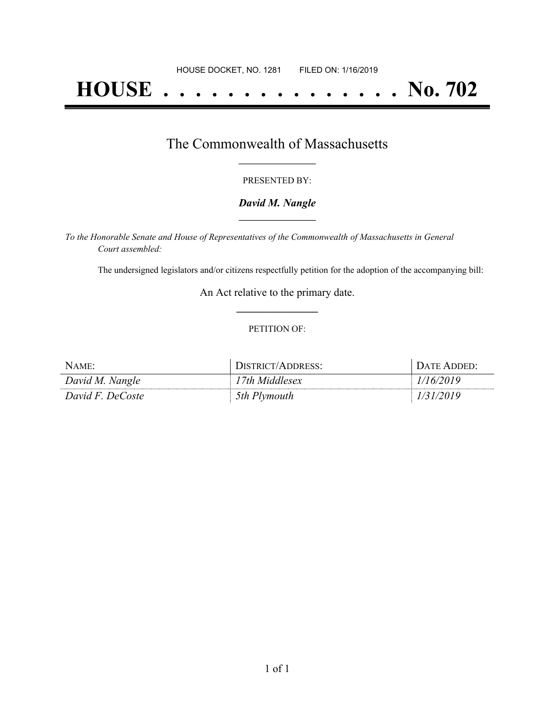# **HOUSE . . . . . . . . . . . . . . . No. 702**

### The Commonwealth of Massachusetts **\_\_\_\_\_\_\_\_\_\_\_\_\_\_\_\_\_**

#### PRESENTED BY:

#### *David M. Nangle* **\_\_\_\_\_\_\_\_\_\_\_\_\_\_\_\_\_**

*To the Honorable Senate and House of Representatives of the Commonwealth of Massachusetts in General Court assembled:*

The undersigned legislators and/or citizens respectfully petition for the adoption of the accompanying bill:

An Act relative to the primary date. **\_\_\_\_\_\_\_\_\_\_\_\_\_\_\_**

#### PETITION OF:

| NAME:            | DISTRICT/ADDRESS: | DATE ADDED: |
|------------------|-------------------|-------------|
| David M. Nangle  | 17th Middlesex    | /16/2019    |
| David F. DeCoste | 5th Plymouth      | 1/31/2019   |